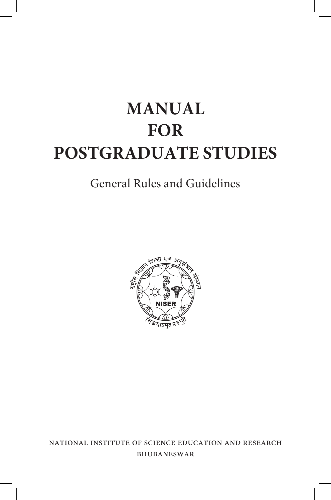# **MANUAL FOR POSTGRADUATE STUDIES**

# General Rules and Guidelines



national institute of science education and research bhubaneswar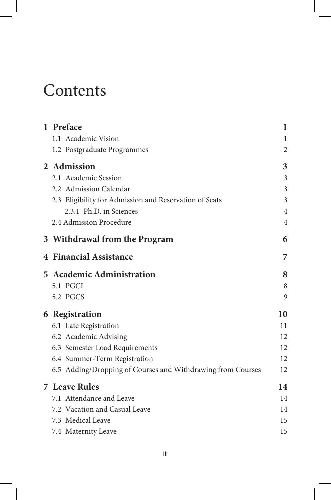# **Contents**

| 1 Preface                                                   | 1              |
|-------------------------------------------------------------|----------------|
| 1.1 Academic Vision                                         | 1              |
| 1.2 Postgraduate Programmes                                 | 2              |
| 2 Admission                                                 | 3              |
| 2.1 Academic Session                                        | 3              |
| 2.2 Admission Calendar                                      | 3              |
| 2.3 Eligibility for Admission and Reservation of Seats      | 3              |
| 2.3.1 Ph.D. in Sciences                                     | 4              |
| 2.4 Admission Procedure                                     | $\overline{4}$ |
| 3 Withdrawal from the Program                               | 6              |
| <b>4 Financial Assistance</b>                               | 7              |
| <b>5</b> Academic Administration                            | 8              |
| 5.1 PGCI                                                    | 8              |
| 5.2 PGCS                                                    | 9              |
| 6 Registration                                              | 10             |
| 6.1 Late Registration                                       | 11             |
| 6.2 Academic Advising                                       | 12             |
| 6.3 Semester Load Requirements                              | 12             |
| 6.4 Summer-Term Registration                                | 12             |
| 6.5 Adding/Dropping of Courses and Withdrawing from Courses | 12             |
| <b>7 Leave Rules</b>                                        | 14             |
| 7.1 Attendance and Leave                                    | 14             |
| 7.2 Vacation and Casual Leave                               | 14             |
| 7.3 Medical Leave                                           | 15             |
| 7.4 Maternity Leave                                         | 15             |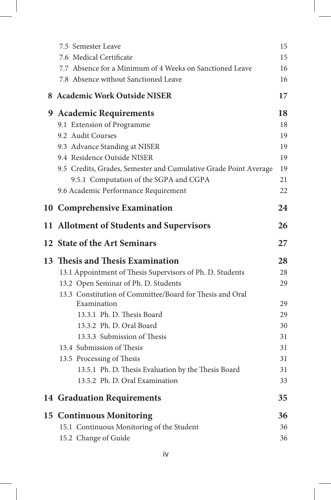| 7.5 Semester Leave                                               | 15 |
|------------------------------------------------------------------|----|
| 7.6 Medical Certificate                                          | 15 |
| 7.7 Absence for a Minimum of 4 Weeks on Sanctioned Leave         | 16 |
| 7.8 Absence without Sanctioned Leave                             | 16 |
| 8 Academic Work Outside NISER                                    | 17 |
| 9 Academic Requirements                                          | 18 |
| 9.1 Extension of Programme                                       | 18 |
| 9.2 Audit Courses                                                | 19 |
| 9.3 Advance Standing at NISER                                    | 19 |
| 9.4 Residence Outside NISER                                      | 19 |
| 9.5 Credits, Grades, Semester and Cumulative Grade Point Average | 19 |
| 9.5.1 Computation of the SGPA and CGPA                           | 21 |
| 9.6 Academic Performance Requirement                             | 22 |
| 10 Comprehensive Examination                                     | 24 |
| 11 Allotment of Students and Supervisors                         | 26 |
| 12 State of the Art Seminars                                     | 27 |
| 13 Thesis and Thesis Examination                                 | 28 |
| 13.1 Appointment of Thesis Supervisors of Ph. D. Students        | 28 |
| 13.2 Open Seminar of Ph. D. Students                             | 29 |
| 13.3 Constitution of Committee/Board for Thesis and Oral         |    |
| Examination                                                      | 29 |
| 13.3.1 Ph. D. Thesis Board                                       | 29 |
| 13.3.2 Ph. D. Oral Board                                         | 30 |
| 13.3.3 Submission of Thesis                                      | 31 |
| 13.4 Submission of Thesis                                        | 31 |
| 13.5 Processing of Thesis                                        | 31 |
| 13.5.1 Ph. D. Thesis Evaluation by the Thesis Board              | 31 |
| 13.5.2 Ph. D. Oral Examination                                   | 33 |
| <b>14 Graduation Requirements</b>                                | 35 |
| <b>15 Continuous Monitoring</b>                                  | 36 |
| 15.1 Continuous Monitoring of the Student                        | 36 |
| 15.2 Change of Guide                                             | 36 |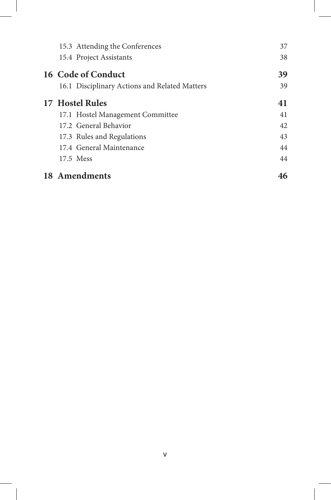| 15.3 Attending the Conferences                | 37 |
|-----------------------------------------------|----|
| 15.4 Project Assistants                       | 38 |
| 16 Code of Conduct                            | 39 |
| 16.1 Disciplinary Actions and Related Matters | 39 |
| 17 Hostel Rules                               | 41 |
| 17.1 Hostel Management Committee              | 41 |
| 17.2 General Behavior                         | 42 |
| 17.3 Rules and Regulations                    | 43 |
| 17.4 General Maintenance                      | 44 |
| 17.5 Mess                                     | 44 |
| 18 Amendments                                 | 46 |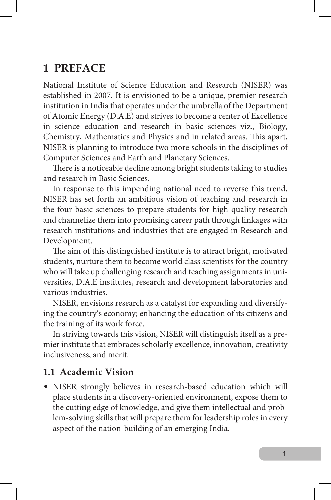## **1 PREFACE**

National Institute of Science Education and Research (NISER) was established in 2007. It is envisioned to be a unique, premier research institution in India that operates under the umbrella of the Department of Atomic Energy (D.A.E) and strives to become a center of Excellence in science education and research in basic sciences viz., Biology, Chemistry, Mathematics and Physics and in related areas. This apart, NISER is planning to introduce two more schools in the disciplines of Computer Sciences and Earth and Planetary Sciences.

There is a noticeable decline among bright students taking to studies and research in Basic Sciences.

In response to this impending national need to reverse this trend, NISER has set forth an ambitious vision of teaching and research in the four basic sciences to prepare students for high quality research and channelize them into promising career path through linkages with research institutions and industries that are engaged in Research and Development.

The aim of this distinguished institute is to attract bright, motivated students, nurture them to become world class scientists for the country who will take up challenging research and teaching assignments in universities, D.A.E institutes, research and development laboratories and various industries.

NISER, envisions research as a catalyst for expanding and diversifying the country's economy; enhancing the education of its citizens and the training of its work force.

In striving towards this vision, NISER will distinguish itself as a premier institute that embraces scholarly excellence, innovation, creativity inclusiveness, and merit.

#### **1.1 Academic Vision**

• NISER strongly believes in research-based education which will place students in a discovery-oriented environment, expose them to the cutting edge of knowledge, and give them intellectual and problem-solving skills that will prepare them for leadership roles in every aspect of the nation-building of an emerging India.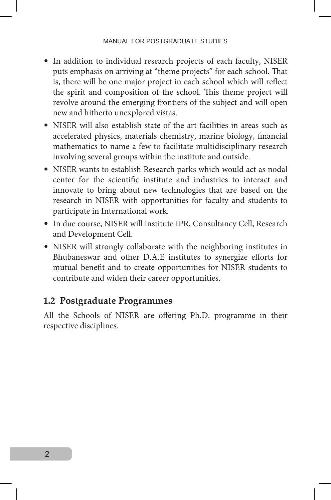- In addition to individual research projects of each faculty, NISER puts emphasis on arriving at "theme projects" for each school. That is, there will be one major project in each school which will reflect the spirit and composition of the school. This theme project will revolve around the emerging frontiers of the subject and will open new and hitherto unexplored vistas.
- NISER will also establish state of the art facilities in areas such as accelerated physics, materials chemistry, marine biology, financial mathematics to name a few to facilitate multidisciplinary research involving several groups within the institute and outside.
- NISER wants to establish Research parks which would act as nodal center for the scientific institute and industries to interact and innovate to bring about new technologies that are based on the research in NISER with opportunities for faculty and students to participate in International work.
- In due course, NISER will institute IPR, Consultancy Cell, Research and Development Cell.
- NISER will strongly collaborate with the neighboring institutes in Bhubaneswar and other D.A.E institutes to synergize efforts for mutual benefit and to create opportunities for NISER students to contribute and widen their career opportunities.

#### **1.2 Postgraduate Programmes**

All the Schools of NISER are offering Ph.D. programme in their respective disciplines.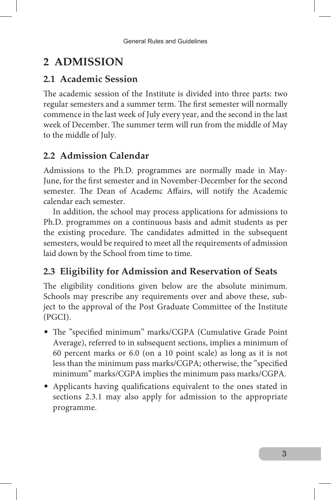# **2 ADMISSION**

## **2.1 Academic Session**

The academic session of the Institute is divided into three parts: two regular semesters and a summer term. The first semester will normally commence in the last week of July every year, and the second in the last week of December. The summer term will run from the middle of May to the middle of July.

## **2.2 Admission Calendar**

Admissions to the Ph.D. programmes are normally made in May-June, for the first semester and in November-December for the second semester. The Dean of Academc Affairs, will notify the Academic calendar each semester.

In addition, the school may process applications for admissions to Ph.D. programmes on a continuous basis and admit students as per the existing procedure. The candidates admitted in the subsequent semesters, would be required to meet all the requirements of admission laid down by the School from time to time.

## **2.3 Eligibility for Admission and Reservation of Seats**

The eligibility conditions given below are the absolute minimum. Schools may prescribe any requirements over and above these, subject to the approval of the Post Graduate Committee of the Institute (PGCI).

- The "specified minimum" marks/CGPA (Cumulative Grade Point Average), referred to in subsequent sections, implies a minimum of 60 percent marks or 6.0 (on a 10 point scale) as long as it is not less than the minimum pass marks/CGPA; otherwise, the "specified minimum" marks/CGPA implies the minimum pass marks/CGPA.
- Applicants having qualifications equivalent to the ones stated in sections 2.3.1 may also apply for admission to the appropriate programme.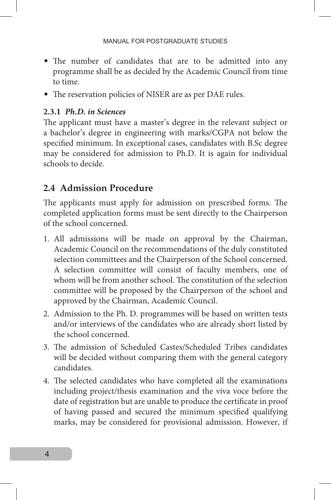- The number of candidates that are to be admitted into any programme shall be as decided by the Academic Council from time to time.
- The reservation policies of NISER are as per DAE rules.

#### **2.3.1** *Ph.D. in Sciences*

The applicant must have a master's degree in the relevant subject or a bachelor's degree in engineering with marks/CGPA not below the specified minimum. In exceptional cases, candidates with B.Sc degree may be considered for admission to Ph.D. It is again for individual schools to decide.

## **2.4 Admission Procedure**

The applicants must apply for admission on prescribed forms. The completed application forms must be sent directly to the Chairperson of the school concerned.

- 1. All admissions will be made on approval by the Chairman, Academic Council on the recommendations of the duly constituted selection committees and the Chairperson of the School concerned. A selection committee will consist of faculty members, one of whom will be from another school. The constitution of the selection committee will be proposed by the Chairperson of the school and approved by the Chairman, Academic Council.
- 2. Admission to the Ph. D. programmes will be based on written tests and/or interviews of the candidates who are already short listed by the school concerned.
- 3. The admission of Scheduled Castes/Scheduled Tribes candidates will be decided without comparing them with the general category candidates.
- 4. The selected candidates who have completed all the examinations including project/thesis examination and the viva voce before the date of registration but are unable to produce the certificate in proof of having passed and secured the minimum specified qualifying marks, may be considered for provisional admission. However, if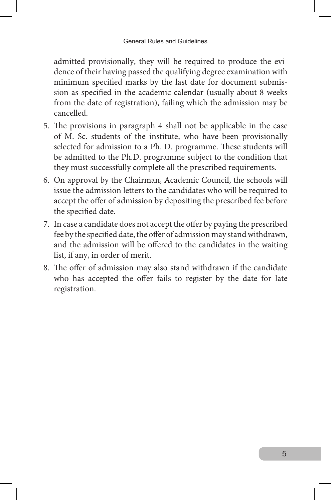admitted provisionally, they will be required to produce the evidence of their having passed the qualifying degree examination with minimum specified marks by the last date for document submission as specified in the academic calendar (usually about 8 weeks from the date of registration), failing which the admission may be cancelled.

- 5. The provisions in paragraph 4 shall not be applicable in the case of M. Sc. students of the institute, who have been provisionally selected for admission to a Ph. D. programme. These students will be admitted to the Ph.D. programme subject to the condition that they must successfully complete all the prescribed requirements.
- 6. On approval by the Chairman, Academic Council, the schools will issue the admission letters to the candidates who will be required to accept the offer of admission by depositing the prescribed fee before the specified date.
- 7. In case a candidate does not accept the offer by paying the prescribed fee by the specified date, the offer of admission may stand withdrawn, and the admission will be offered to the candidates in the waiting list, if any, in order of merit.
- 8. The offer of admission may also stand withdrawn if the candidate who has accepted the offer fails to register by the date for late registration.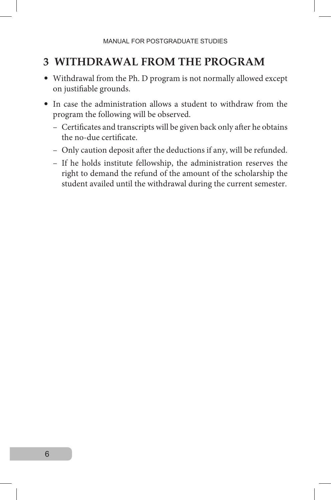## **3 WITHDRAWAL FROM THE PROGRAM**

- Withdrawal from the Ph. D program is not normally allowed except on justifiable grounds.
- In case the administration allows a student to withdraw from the program the following will be observed.
	- Certificates and transcripts will be given back only after he obtains the no-due certificate.
	- Only caution deposit after the deductions if any, will be refunded.
	- If he holds institute fellowship, the administration reserves the right to demand the refund of the amount of the scholarship the student availed until the withdrawal during the current semester.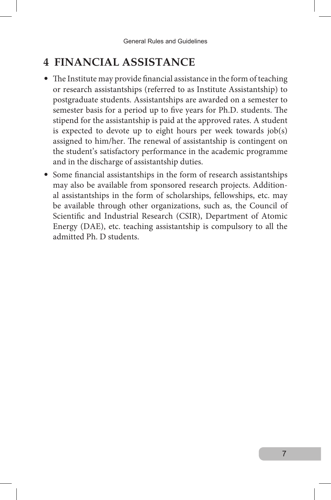## **4 FINANCIAL ASSISTANCE**

- The Institute may provide financial assistance in the form of teaching or research assistantships (referred to as Institute Assistantship) to postgraduate students. Assistantships are awarded on a semester to semester basis for a period up to five years for Ph.D. students. The stipend for the assistantship is paid at the approved rates. A student is expected to devote up to eight hours per week towards job(s) assigned to him/her. The renewal of assistantship is contingent on the student's satisfactory performance in the academic programme and in the discharge of assistantship duties.
- Some financial assistantships in the form of research assistantships may also be available from sponsored research projects. Additional assistantships in the form of scholarships, fellowships, etc. may be available through other organizations, such as, the Council of Scientific and Industrial Research (CSIR), Department of Atomic Energy (DAE), etc. teaching assistantship is compulsory to all the admitted Ph. D students.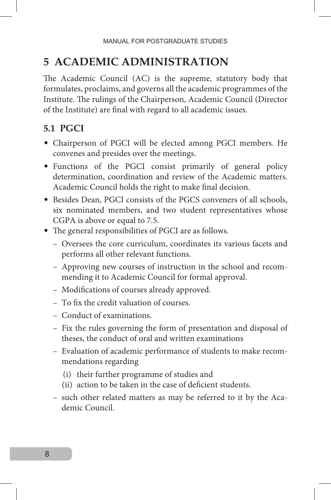## **5 ACADEMIC ADMINISTRATION**

The Academic Council (AC) is the supreme, statutory body that formulates, proclaims, and governs all the academic programmes of the Institute. The rulings of the Chairperson, Academic Council (Director of the Institute) are final with regard to all academic issues.

## **5.1 PGCI**

- Chairperson of PGCI will be elected among PGCI members. He convenes and presides over the meetings.
- Functions of the PGCI consist primarily of general policy determination, coordination and review of the Academic matters. Academic Council holds the right to make final decision.
- Besides Dean, PGCI consists of the PGCS conveners of all schools, six nominated members, and two student representatives whose CGPA is above or equal to 7.5.
- The general responsibilities of PGCI are as follows.
	- Oversees the core curriculum, coordinates its various facets and performs all other relevant functions.
	- Approving new courses of instruction in the school and recommending it to Academic Council for formal approval.
	- Modifications of courses already approved.
	- To fix the credit valuation of courses.
	- Conduct of examinations.
	- Fix the rules governing the form of presentation and disposal of theses, the conduct of oral and written examinations
	- Evaluation of academic performance of students to make recommendations regarding
		- (i) their further programme of studies and
		- (ii) action to be taken in the case of deficient students.
	- such other related matters as may be referred to it by the Academic Council.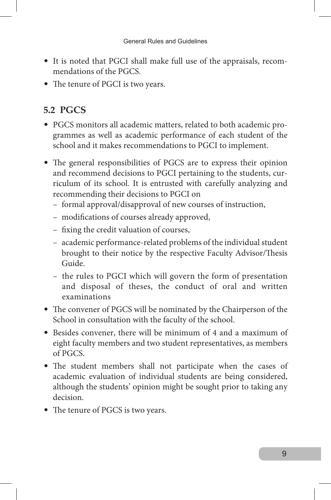- It is noted that PGCI shall make full use of the appraisals, recommendations of the PGCS.
- The tenure of PGCI is two years.

## **5.2 PGCS**

- PGCS monitors all academic matters, related to both academic programmes as well as academic performance of each student of the school and it makes recommendations to PGCI to implement.
- The general responsibilities of PGCS are to express their opinion and recommend decisions to PGCI pertaining to the students, curriculum of its school. It is entrusted with carefully analyzing and recommending their decisions to PGCI on
	- formal approval/disapproval of new courses of instruction,
	- modifications of courses already approved,
	- fixing the credit valuation of courses,
	- academic performance-related problems of the individual student brought to their notice by the respective Faculty Advisor/Thesis Guide.
	- the rules to PGCI which will govern the form of presentation and disposal of theses, the conduct of oral and written examinations
- The convener of PGCS will be nominated by the Chairperson of the School in consultation with the faculty of the school.
- Besides convener, there will be minimum of 4 and a maximum of eight faculty members and two student representatives, as members of PGCS.
- The student members shall not participate when the cases of academic evaluation of individual students are being considered, although the students' opinion might be sought prior to taking any decision.
- The tenure of PGCS is two years.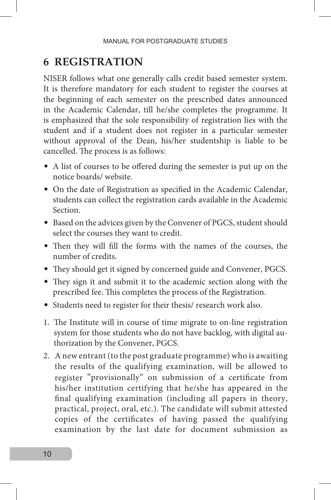## **6 REGISTRATION**

NISER follows what one generally calls credit based semester system. It is therefore mandatory for each student to register the courses at the beginning of each semester on the prescribed dates announced in the Academic Calendar, till he/she completes the programme. It is emphasized that the sole responsibility of registration lies with the student and if a student does not register in a particular semester without approval of the Dean, his/her studentship is liable to be cancelled. The process is as follows:

- A list of courses to be offered during the semester is put up on the notice boards/ website.
- On the date of Registration as specified in the Academic Calendar, students can collect the registration cards available in the Academic Section.
- Based on the advices given by the Convener of PGCS, student should select the courses they want to credit.
- Then they will fill the forms with the names of the courses, the number of credits.
- They should get it signed by concerned guide and Convener, PGCS.
- They sign it and submit it to the academic section along with the prescribed fee. This completes the process of the Registration.
- Students need to register for their thesis/ research work also.
- 1. The Institute will in course of time migrate to on-line registration system for those students who do not have backlog, with digital authorization by the Convener, PGCS.
- 2. A new entrant (to the post graduate programme) who is awaiting the results of the qualifying examination, will be allowed to register "provisionally" on submission of a certificate from his/her institution certifying that he/she has appeared in the final qualifying examination (including all papers in theory, practical, project, oral, etc.). The candidate will submit attested copies of the certificates of having passed the qualifying examination by the last date for document submission as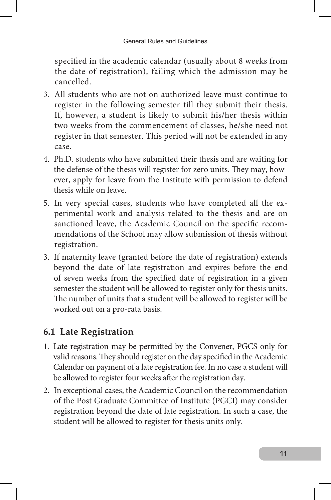specified in the academic calendar (usually about 8 weeks from the date of registration), failing which the admission may be cancelled.

- 3. All students who are not on authorized leave must continue to register in the following semester till they submit their thesis. If, however, a student is likely to submit his/her thesis within two weeks from the commencement of classes, he/she need not register in that semester. This period will not be extended in any case.
- 4. Ph.D. students who have submitted their thesis and are waiting for the defense of the thesis will register for zero units. They may, however, apply for leave from the Institute with permission to defend thesis while on leave.
- 5. In very special cases, students who have completed all the experimental work and analysis related to the thesis and are on sanctioned leave, the Academic Council on the specific recommendations of the School may allow submission of thesis without registration.
- 3. If maternity leave (granted before the date of registration) extends beyond the date of late registration and expires before the end of seven weeks from the specified date of registration in a given semester the student will be allowed to register only for thesis units. The number of units that a student will be allowed to register will be worked out on a pro-rata basis.

## **6.1 Late Registration**

- 1. Late registration may be permitted by the Convener, PGCS only for valid reasons. They should register on the day specified in the Academic Calendar on payment of a late registration fee. In no case a student will be allowed to register four weeks after the registration day.
- 2. In exceptional cases, the Academic Council on the recommendation of the Post Graduate Committee of Institute (PGCI) may consider registration beyond the date of late registration. In such a case, the student will be allowed to register for thesis units only.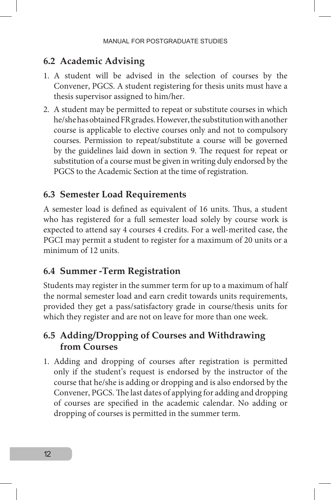#### **6.2 Academic Advising**

- 1. A student will be advised in the selection of courses by the Convener, PGCS. A student registering for thesis units must have a thesis supervisor assigned to him/her.
- 2. A student may be permitted to repeat or substitute courses in which he/she has obtained FR grades. However, the substitution with another course is applicable to elective courses only and not to compulsory courses. Permission to repeat/substitute a course will be governed by the guidelines laid down in section 9. The request for repeat or substitution of a course must be given in writing duly endorsed by the PGCS to the Academic Section at the time of registration.

#### **6.3 Semester Load Requirements**

A semester load is defined as equivalent of 16 units. Thus, a student who has registered for a full semester load solely by course work is expected to attend say 4 courses 4 credits. For a well-merited case, the PGCI may permit a student to register for a maximum of 20 units or a minimum of 12 units.

#### **6.4 Summer -Term Registration**

Students may register in the summer term for up to a maximum of half the normal semester load and earn credit towards units requirements, provided they get a pass/satisfactory grade in course/thesis units for which they register and are not on leave for more than one week.

#### **6.5 Adding/Dropping of Courses and Withdrawing from Courses**

1. Adding and dropping of courses after registration is permitted only if the student's request is endorsed by the instructor of the course that he/she is adding or dropping and is also endorsed by the Convener, PGCS. The last dates of applying for adding and dropping of courses are specified in the academic calendar. No adding or dropping of courses is permitted in the summer term.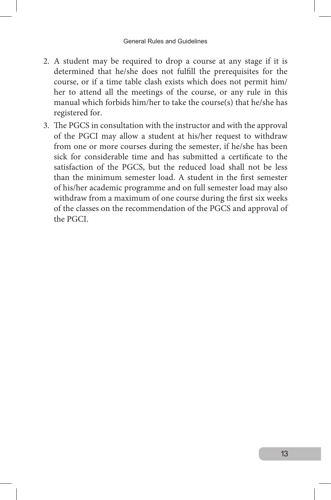- 2. A student may be required to drop a course at any stage if it is determined that he/she does not fulfill the prerequisites for the course, or if a time table clash exists which does not permit him/ her to attend all the meetings of the course, or any rule in this manual which forbids him/her to take the course(s) that he/she has registered for.
- 3. The PGCS in consultation with the instructor and with the approval of the PGCI may allow a student at his/her request to withdraw from one or more courses during the semester, if he/she has been sick for considerable time and has submitted a certificate to the satisfaction of the PGCS, but the reduced load shall not be less than the minimum semester load. A student in the first semester of his/her academic programme and on full semester load may also withdraw from a maximum of one course during the first six weeks of the classes on the recommendation of the PGCS and approval of the PGCI.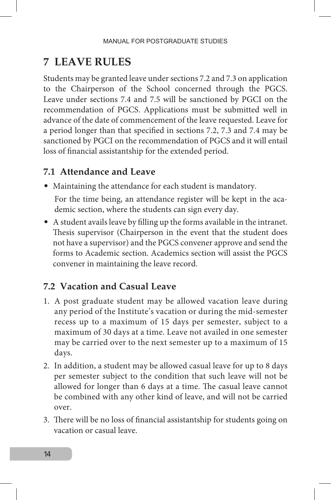## **7 LEAVE RULES**

Students may be granted leave under sections 7.2 and 7.3 on application to the Chairperson of the School concerned through the PGCS. Leave under sections 7.4 and 7.5 will be sanctioned by PGCI on the recommendation of PGCS. Applications must be submitted well in advance of the date of commencement of the leave requested. Leave for a period longer than that specified in sections 7.2, 7.3 and 7.4 may be sanctioned by PGCI on the recommendation of PGCS and it will entail loss of financial assistantship for the extended period.

#### **7.1 Attendance and Leave**

- Maintaining the attendance for each student is mandatory. For the time being, an attendance register will be kept in the academic section, where the students can sign every day.
- A student avails leave by filling up the forms available in the intranet. Thesis supervisor (Chairperson in the event that the student does not have a supervisor) and the PGCS convener approve and send the forms to Academic section. Academics section will assist the PGCS convener in maintaining the leave record.

#### **7.2 Vacation and Casual Leave**

- 1. A post graduate student may be allowed vacation leave during any period of the Institute's vacation or during the mid-semester recess up to a maximum of 15 days per semester, subject to a maximum of 30 days at a time. Leave not availed in one semester may be carried over to the next semester up to a maximum of 15 days.
- 2. In addition, a student may be allowed casual leave for up to 8 days per semester subject to the condition that such leave will not be allowed for longer than 6 days at a time. The casual leave cannot be combined with any other kind of leave, and will not be carried over.
- 3. There will be no loss of financial assistantship for students going on vacation or casual leave.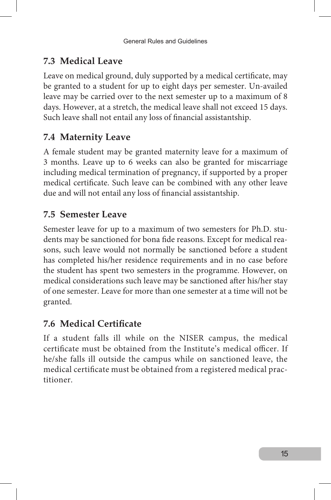## **7.3 Medical Leave**

Leave on medical ground, duly supported by a medical certificate, may be granted to a student for up to eight days per semester. Un-availed leave may be carried over to the next semester up to a maximum of 8 days. However, at a stretch, the medical leave shall not exceed 15 days. Such leave shall not entail any loss of financial assistantship.

## **7.4 Maternity Leave**

A female student may be granted maternity leave for a maximum of 3 months. Leave up to 6 weeks can also be granted for miscarriage including medical termination of pregnancy, if supported by a proper medical certificate. Such leave can be combined with any other leave due and will not entail any loss of financial assistantship.

## **7.5 Semester Leave**

Semester leave for up to a maximum of two semesters for Ph.D. students may be sanctioned for bona fide reasons. Except for medical reasons, such leave would not normally be sanctioned before a student has completed his/her residence requirements and in no case before the student has spent two semesters in the programme. However, on medical considerations such leave may be sanctioned after his/her stay of one semester. Leave for more than one semester at a time will not be granted.

## **7.6 Medical Certificate**

If a student falls ill while on the NISER campus, the medical certificate must be obtained from the Institute's medical officer. If he/she falls ill outside the campus while on sanctioned leave, the medical certificate must be obtained from a registered medical practitioner.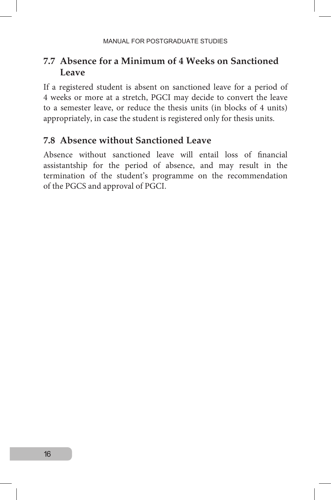## **7.7 Absence for a Minimum of 4 Weeks on Sanctioned Leave**

If a registered student is absent on sanctioned leave for a period of 4 weeks or more at a stretch, PGCI may decide to convert the leave to a semester leave, or reduce the thesis units (in blocks of 4 units) appropriately, in case the student is registered only for thesis units.

#### **7.8 Absence without Sanctioned Leave**

Absence without sanctioned leave will entail loss of financial assistantship for the period of absence, and may result in the termination of the student's programme on the recommendation of the PGCS and approval of PGCI.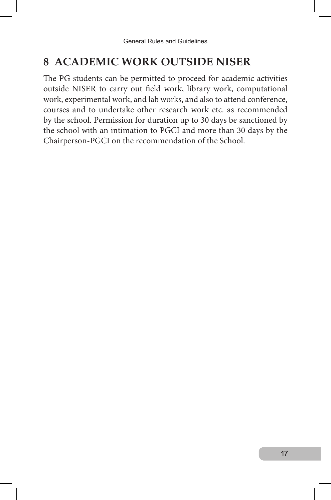## **8 ACADEMIC WORK OUTSIDE NISER**

The PG students can be permitted to proceed for academic activities outside NISER to carry out field work, library work, computational work, experimental work, and lab works, and also to attend conference, courses and to undertake other research work etc. as recommended by the school. Permission for duration up to 30 days be sanctioned by the school with an intimation to PGCI and more than 30 days by the Chairperson-PGCI on the recommendation of the School.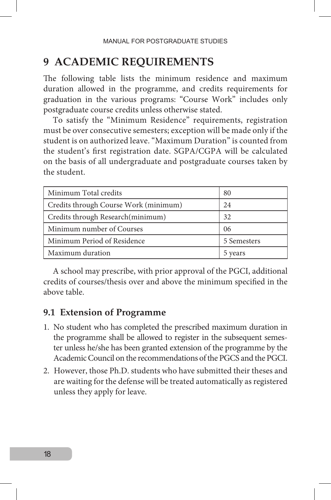## **9 ACADEMIC REQUIREMENTS**

The following table lists the minimum residence and maximum duration allowed in the programme, and credits requirements for graduation in the various programs: "Course Work" includes only postgraduate course credits unless otherwise stated.

To satisfy the "Minimum Residence" requirements, registration must be over consecutive semesters; exception will be made only if the student is on authorized leave. "Maximum Duration" is counted from the student's first registration date. SGPA/CGPA will be calculated on the basis of all undergraduate and postgraduate courses taken by the student.

| Minimum Total credits                 | 80          |
|---------------------------------------|-------------|
| Credits through Course Work (minimum) | 24          |
| Credits through Research (minimum)    | 32          |
| Minimum number of Courses             | 06          |
| Minimum Period of Residence           | 5 Semesters |
| Maximum duration                      | 5 years     |

A school may prescribe, with prior approval of the PGCI, additional credits of courses/thesis over and above the minimum specified in the above table.

#### **9.1 Extension of Programme**

- 1. No student who has completed the prescribed maximum duration in the programme shall be allowed to register in the subsequent semester unless he/she has been granted extension of the programme by the Academic Council on the recommendations of the PGCS and the PGCI.
- 2. However, those Ph.D. students who have submitted their theses and are waiting for the defense will be treated automatically as registered unless they apply for leave.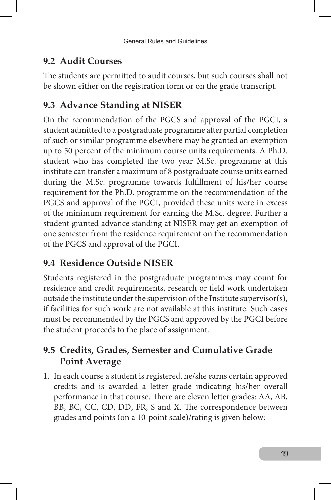## **9.2 Audit Courses**

The students are permitted to audit courses, but such courses shall not be shown either on the registration form or on the grade transcript.

## **9.3 Advance Standing at NISER**

On the recommendation of the PGCS and approval of the PGCI, a student admitted to a postgraduate programme after partial completion of such or similar programme elsewhere may be granted an exemption up to 50 percent of the minimum course units requirements. A Ph.D. student who has completed the two year M.Sc. programme at this institute can transfer a maximum of 8 postgraduate course units earned during the M.Sc. programme towards fulfillment of his/her course requirement for the Ph.D. programme on the recommendation of the PGCS and approval of the PGCI, provided these units were in excess of the minimum requirement for earning the M.Sc. degree. Further a student granted advance standing at NISER may get an exemption of one semester from the residence requirement on the recommendation of the PGCS and approval of the PGCI.

## **9.4 Residence Outside NISER**

Students registered in the postgraduate programmes may count for residence and credit requirements, research or field work undertaken outside the institute under the supervision of the Institute supervisor(s), if facilities for such work are not available at this institute. Such cases must be recommended by the PGCS and approved by the PGCI before the student proceeds to the place of assignment.

## **9.5 Credits, Grades, Semester and Cumulative Grade Point Average**

1. In each course a student is registered, he/she earns certain approved credits and is awarded a letter grade indicating his/her overall performance in that course. There are eleven letter grades: AA, AB, BB, BC, CC, CD, DD, FR, S and X. The correspondence between grades and points (on a 10-point scale)/rating is given below: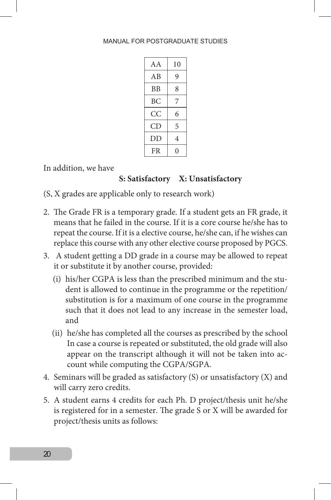#### MANUAL FOR POSTGRADUATE STUDIES

| A A | 10 |
|-----|----|
| AВ  | 9  |
| BB  | 8  |
| ВC  | 7  |
| СC  | 6  |
| СD  | 5  |
| DD  | 4  |
| FR  | 0  |

In addition, we have

#### **S: Satisfactory X: Unsatisfactory**

(S, X grades are applicable only to research work)

- 2. The Grade FR is a temporary grade. If a student gets an FR grade, it means that he failed in the course. If it is a core course he/she has to repeat the course. If it is a elective course, he/she can, if he wishes can replace this course with any other elective course proposed by PGCS.
- 3. A student getting a DD grade in a course may be allowed to repeat it or substitute it by another course, provided:
	- (i) his/her CGPA is less than the prescribed minimum and the student is allowed to continue in the programme or the repetition/ substitution is for a maximum of one course in the programme such that it does not lead to any increase in the semester load, and
	- (ii) he/she has completed all the courses as prescribed by the school In case a course is repeated or substituted, the old grade will also appear on the transcript although it will not be taken into account while computing the CGPA/SGPA.
- 4. Seminars will be graded as satisfactory (S) or unsatisfactory (X) and will carry zero credits.
- 5. A student earns 4 credits for each Ph. D project/thesis unit he/she is registered for in a semester. The grade S or X will be awarded for project/thesis units as follows: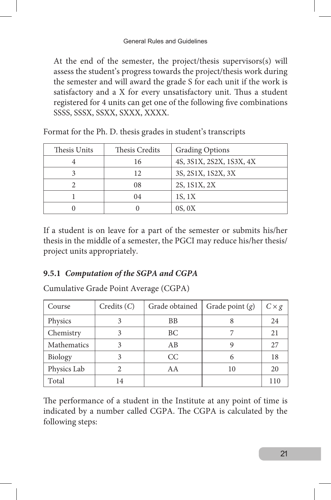#### General Rules and Guidelines

At the end of the semester, the project/thesis supervisors(s) will assess the student's progress towards the project/thesis work during the semester and will award the grade S for each unit if the work is satisfactory and a X for every unsatisfactory unit. Thus a student registered for 4 units can get one of the following five combinations SSSS, SSSX, SSXX, SXXX, XXXX.

| Thesis Units | Thesis Credits<br><b>Grading Options</b> |                          |
|--------------|------------------------------------------|--------------------------|
|              | 16                                       | 4S, 3S1X, 2S2X, 1S3X, 4X |
|              | 12                                       | 3S, 2S1X, 1S2X, 3X       |
|              | 08                                       | 2S, 1S1X, 2X             |
|              | 04                                       | 18, 1X                   |
|              |                                          | 0S, 0X                   |

Format for the Ph. D. thesis grades in student's transcripts

If a student is on leave for a part of the semester or submits his/her thesis in the middle of a semester, the PGCI may reduce his/her thesis/ project units appropriately.

#### **9.5.1** *Computation of the SGPA and CGPA*

Cumulative Grade Point Average (CGPA)

| Course      | $C$ redits $(C)$ | Grade obtained | Grade point $(g)$ | $C \times g$ |
|-------------|------------------|----------------|-------------------|--------------|
| Physics     | 3                | BB             |                   | 24           |
| Chemistry   | 3                | BC.            |                   | 21           |
| Mathematics | 3                | AB             |                   | 27           |
| Biology     | 3                | CC.            | 6                 | 18           |
| Physics Lab |                  | AA             | 10                | 20           |
| Total       | 14               |                |                   | 110          |

The performance of a student in the Institute at any point of time is indicated by a number called CGPA. The CGPA is calculated by the following steps: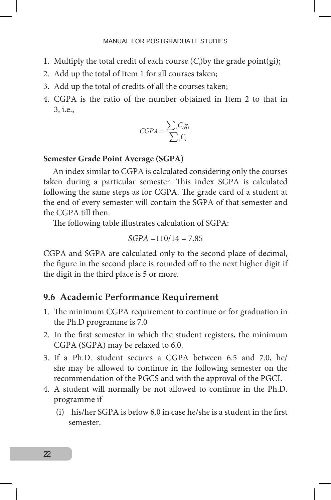- 1. Multiply the total credit of each course  $(C_i)$  by the grade point(gi);
- 2. Add up the total of Item 1 for all courses taken;
- 3. Add up the total of credits of all the courses taken;
- 4. CGPA is the ratio of the number obtained in Item 2 to that in 3, i.e.,

$$
CGPA = \frac{\sum_{i} C_{i}g_{i}}{\sum_{i} C_{i}}
$$

#### **Semester Grade Point Average (SGPA)**

An index similar to CGPA is calculated considering only the courses taken during a particular semester. This index SGPA is calculated following the same steps as for CGPA. The grade card of a student at the end of every semester will contain the SGPA of that semester and the CGPA till then.

The following table illustrates calculation of SGPA:

$$
SGPA = 110/14 = 7.85
$$

CGPA and SGPA are calculated only to the second place of decimal, the figure in the second place is rounded off to the next higher digit if the digit in the third place is 5 or more.

#### **9.6 Academic Performance Requirement**

- 1. The minimum CGPA requirement to continue or for graduation in the Ph.D programme is 7.0
- 2. In the first semester in which the student registers, the minimum CGPA (SGPA) may be relaxed to 6.0.
- 3. If a Ph.D. student secures a CGPA between 6.5 and 7.0, he/ she may be allowed to continue in the following semester on the recommendation of the PGCS and with the approval of the PGCI.
- 4. A student will normally be not allowed to continue in the Ph.D. programme if
	- (i) his/her SGPA is below 6.0 in case he/she is a student in the first semester.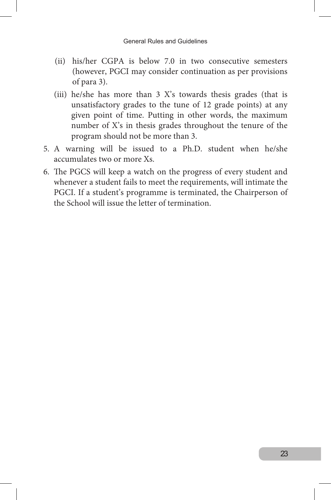#### General Rules and Guidelines

- (ii) his/her CGPA is below 7.0 in two consecutive semesters (however, PGCI may consider continuation as per provisions of para 3).
- (iii) he/she has more than 3 X's towards thesis grades (that is unsatisfactory grades to the tune of 12 grade points) at any given point of time. Putting in other words, the maximum number of X's in thesis grades throughout the tenure of the program should not be more than 3.
- 5. A warning will be issued to a Ph.D. student when he/she accumulates two or more Xs.
- 6. The PGCS will keep a watch on the progress of every student and whenever a student fails to meet the requirements, will intimate the PGCI. If a student's programme is terminated, the Chairperson of the School will issue the letter of termination.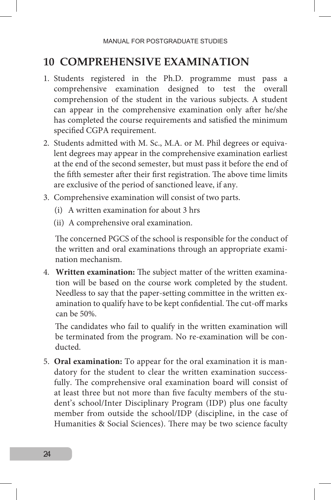## **10 COMPREHENSIVE EXAMINATION**

- 1. Students registered in the Ph.D. programme must pass a comprehensive examination designed to test the overall comprehension of the student in the various subjects. A student can appear in the comprehensive examination only after he/she has completed the course requirements and satisfied the minimum specified CGPA requirement.
- 2. Students admitted with M. Sc., M.A. or M. Phil degrees or equivalent degrees may appear in the comprehensive examination earliest at the end of the second semester, but must pass it before the end of the fifth semester after their first registration. The above time limits are exclusive of the period of sanctioned leave, if any.
- 3. Comprehensive examination will consist of two parts.
	- (i) A written examination for about 3 hrs
	- (ii) A comprehensive oral examination.

The concerned PGCS of the school is responsible for the conduct of the written and oral examinations through an appropriate examination mechanism.

4. **Written examination:** The subject matter of the written examination will be based on the course work completed by the student. Needless to say that the paper-setting committee in the written examination to qualify have to be kept confidential. The cut-off marks can be 50%.

The candidates who fail to qualify in the written examination will be terminated from the program. No re-examination will be conducted.

5. **Oral examination:** To appear for the oral examination it is mandatory for the student to clear the written examination successfully. The comprehensive oral examination board will consist of at least three but not more than five faculty members of the student's school/Inter Disciplinary Program (IDP) plus one faculty member from outside the school/IDP (discipline, in the case of Humanities & Social Sciences). There may be two science faculty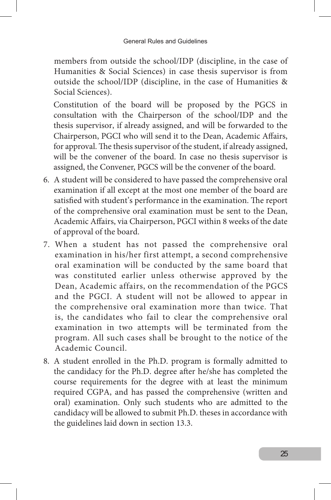members from outside the school/IDP (discipline, in the case of Humanities & Social Sciences) in case thesis supervisor is from outside the school/IDP (discipline, in the case of Humanities & Social Sciences).

Constitution of the board will be proposed by the PGCS in consultation with the Chairperson of the school/IDP and the thesis supervisor, if already assigned, and will be forwarded to the Chairperson, PGCI who will send it to the Dean, Academic Affairs, for approval. The thesis supervisor of the student, if already assigned, will be the convener of the board. In case no thesis supervisor is assigned, the Convener, PGCS will be the convener of the board.

- 6. A student will be considered to have passed the comprehensive oral examination if all except at the most one member of the board are satisfied with student's performance in the examination. The report of the comprehensive oral examination must be sent to the Dean, Academic Affairs, via Chairperson, PGCI within 8 weeks of the date of approval of the board.
- 7. When a student has not passed the comprehensive oral examination in his/her first attempt, a second comprehensive oral examination will be conducted by the same board that was constituted earlier unless otherwise approved by the Dean, Academic affairs, on the recommendation of the PGCS and the PGCI. A student will not be allowed to appear in the comprehensive oral examination more than twice. That is, the candidates who fail to clear the comprehensive oral examination in two attempts will be terminated from the program. All such cases shall be brought to the notice of the Academic Council.
- 8. A student enrolled in the Ph.D. program is formally admitted to the candidacy for the Ph.D. degree after he/she has completed the course requirements for the degree with at least the minimum required CGPA, and has passed the comprehensive (written and oral) examination. Only such students who are admitted to the candidacy will be allowed to submit Ph.D. theses in accordance with the guidelines laid down in section 13.3.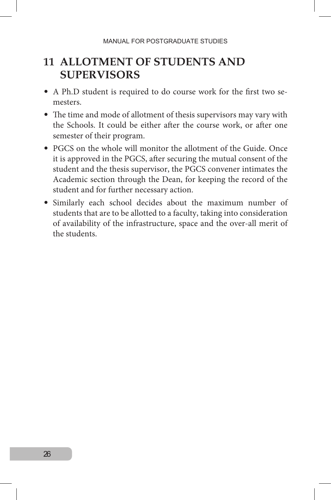## **11 ALLOTMENT OF STUDENTS AND SUPERVISORS**

- A Ph.D student is required to do course work for the first two semesters.
- The time and mode of allotment of thesis supervisors may vary with the Schools. It could be either after the course work, or after one semester of their program.
- PGCS on the whole will monitor the allotment of the Guide. Once it is approved in the PGCS, after securing the mutual consent of the student and the thesis supervisor, the PGCS convener intimates the Academic section through the Dean, for keeping the record of the student and for further necessary action.
- Similarly each school decides about the maximum number of students that are to be allotted to a faculty, taking into consideration of availability of the infrastructure, space and the over-all merit of the students.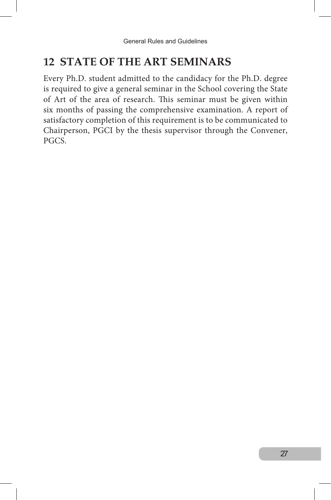## **12 STATE OF THE ART SEMINARS**

Every Ph.D. student admitted to the candidacy for the Ph.D. degree is required to give a general seminar in the School covering the State of Art of the area of research. This seminar must be given within six months of passing the comprehensive examination. A report of satisfactory completion of this requirement is to be communicated to Chairperson, PGCI by the thesis supervisor through the Convener, PGCS.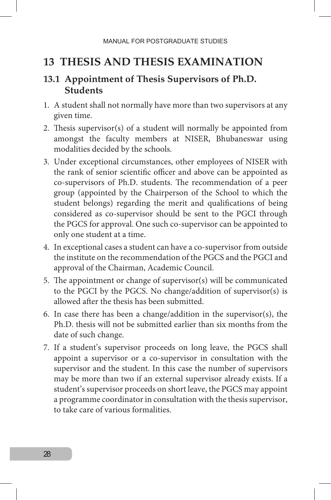## **13 THESIS AND THESIS EXAMINATION**

## **13.1 Appointment of Thesis Supervisors of Ph.D. Students**

- 1. A student shall not normally have more than two supervisors at any given time.
- 2. Thesis supervisor(s) of a student will normally be appointed from amongst the faculty members at NISER, Bhubaneswar using modalities decided by the schools.
- 3. Under exceptional circumstances, other employees of NISER with the rank of senior scientific officer and above can be appointed as co-supervisors of Ph.D. students. The recommendation of a peer group (appointed by the Chairperson of the School to which the student belongs) regarding the merit and qualifications of being considered as co-supervisor should be sent to the PGCI through the PGCS for approval. One such co-supervisor can be appointed to only one student at a time.
- 4. In exceptional cases a student can have a co-supervisor from outside the institute on the recommendation of the PGCS and the PGCI and approval of the Chairman, Academic Council.
- 5. The appointment or change of supervisor(s) will be communicated to the PGCI by the PGCS. No change/addition of supervisor(s) is allowed after the thesis has been submitted.
- 6. In case there has been a change/addition in the supervisor(s), the Ph.D. thesis will not be submitted earlier than six months from the date of such change.
- 7. If a student's supervisor proceeds on long leave, the PGCS shall appoint a supervisor or a co-supervisor in consultation with the supervisor and the student. In this case the number of supervisors may be more than two if an external supervisor already exists. If a student's supervisor proceeds on short leave, the PGCS may appoint a programme coordinator in consultation with the thesis supervisor, to take care of various formalities.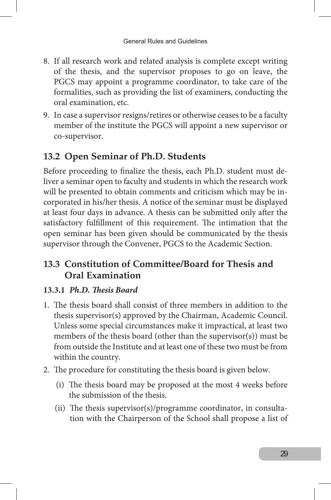- 8. If all research work and related analysis is complete except writing of the thesis, and the supervisor proposes to go on leave, the PGCS may appoint a programme coordinator, to take care of the formalities, such as providing the list of examiners, conducting the oral examination, etc.
- 9. In case a supervisor resigns/retires or otherwise ceases to be a faculty member of the institute the PGCS will appoint a new supervisor or co-supervisor.

## **13.2 Open Seminar of Ph.D. Students**

Before proceeding to finalize the thesis, each Ph.D. student must deliver a seminar open to faculty and students in which the research work will be presented to obtain comments and criticism which may be incorporated in his/her thesis. A notice of the seminar must be displayed at least four days in advance. A thesis can be submitted only after the satisfactory fulfillment of this requirement. The intimation that the open seminar has been given should be communicated by the thesis supervisor through the Convener, PGCS to the Academic Section.

## **13.3 Constitution of Committee/Board for Thesis and Oral Examination**

#### **13.3.1** *Ph.D. Thesis Board*

- 1. The thesis board shall consist of three members in addition to the thesis supervisor(s) approved by the Chairman, Academic Council. Unless some special circumstances make it impractical, at least two members of the thesis board (other than the supervisor(s)) must be from outside the Institute and at least one of these two must be from within the country.
- 2. The procedure for constituting the thesis board is given below.
	- (i) The thesis board may be proposed at the most 4 weeks before the submission of the thesis.
	- (ii) The thesis supervisor(s)/programme coordinator, in consultation with the Chairperson of the School shall propose a list of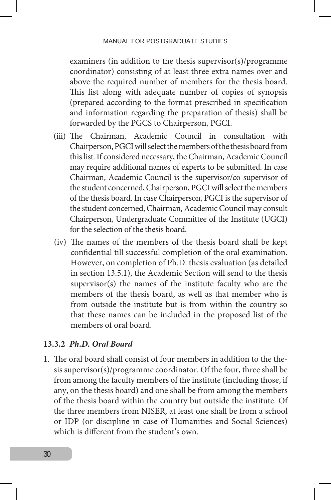examiners (in addition to the thesis supervisor(s)/programme coordinator) consisting of at least three extra names over and above the required number of members for the thesis board. This list along with adequate number of copies of synopsis (prepared according to the format prescribed in specification and information regarding the preparation of thesis) shall be forwarded by the PGCS to Chairperson, PGCI.

- (iii) The Chairman, Academic Council in consultation with Chairperson, PGCI will select the members of the thesis board from this list. If considered necessary, the Chairman, Academic Council may require additional names of experts to be submitted. In case Chairman, Academic Council is the supervisor/co-supervisor of the student concerned, Chairperson, PGCI will select the members of the thesis board. In case Chairperson, PGCI is the supervisor of the student concerned, Chairman, Academic Council may consult Chairperson, Undergraduate Committee of the Institute (UGCI) for the selection of the thesis board.
- (iv) The names of the members of the thesis board shall be kept confidential till successful completion of the oral examination. However, on completion of Ph.D. thesis evaluation (as detailed in section 13.5.1), the Academic Section will send to the thesis supervisor(s) the names of the institute faculty who are the members of the thesis board, as well as that member who is from outside the institute but is from within the country so that these names can be included in the proposed list of the members of oral board.

#### **13.3.2** *Ph.D. Oral Board*

1. The oral board shall consist of four members in addition to the thesis supervisor(s)/programme coordinator. Of the four, three shall be from among the faculty members of the institute (including those, if any, on the thesis board) and one shall be from among the members of the thesis board within the country but outside the institute. Of the three members from NISER, at least one shall be from a school or IDP (or discipline in case of Humanities and Social Sciences) which is different from the student's own.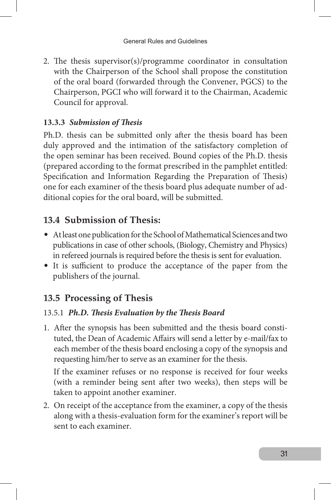2. The thesis supervisor(s)/programme coordinator in consultation with the Chairperson of the School shall propose the constitution of the oral board (forwarded through the Convener, PGCS) to the Chairperson, PGCI who will forward it to the Chairman, Academic Council for approval.

#### **13.3.3** *Submission of Thesis*

Ph.D. thesis can be submitted only after the thesis board has been duly approved and the intimation of the satisfactory completion of the open seminar has been received. Bound copies of the Ph.D. thesis (prepared according to the format prescribed in the pamphlet entitled: Specification and Information Regarding the Preparation of Thesis) one for each examiner of the thesis board plus adequate number of additional copies for the oral board, will be submitted.

## **13.4 Submission of Thesis:**

- At least one publication for the School of Mathematical Sciences and two publications in case of other schools, (Biology, Chemistry and Physics) in refereed journals is required before the thesis is sent for evaluation.
- It is sufficient to produce the acceptance of the paper from the publishers of the journal.

## **13.5 Processing of Thesis**

#### 13.5.1 *Ph.D. Thesis Evaluation by the Thesis Board*

1. After the synopsis has been submitted and the thesis board constituted, the Dean of Academic Affairs will send a letter by e-mail/fax to each member of the thesis board enclosing a copy of the synopsis and requesting him/her to serve as an examiner for the thesis.

If the examiner refuses or no response is received for four weeks (with a reminder being sent after two weeks), then steps will be taken to appoint another examiner.

2. On receipt of the acceptance from the examiner, a copy of the thesis along with a thesis-evaluation form for the examiner's report will be sent to each examiner.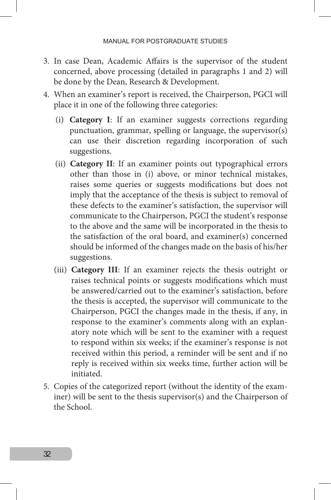- 3. In case Dean, Academic Affairs is the supervisor of the student concerned, above processing (detailed in paragraphs 1 and 2) will be done by the Dean, Research & Development.
- 4. When an examiner's report is received, the Chairperson, PGCI will place it in one of the following three categories:
	- (i) **Category I**: If an examiner suggests corrections regarding punctuation, grammar, spelling or language, the supervisor(s) can use their discretion regarding incorporation of such suggestions.
	- (ii) **Category II**: If an examiner points out typographical errors other than those in (i) above, or minor technical mistakes, raises some queries or suggests modifications but does not imply that the acceptance of the thesis is subject to removal of these defects to the examiner's satisfaction, the supervisor will communicate to the Chairperson, PGCI the student's response to the above and the same will be incorporated in the thesis to the satisfaction of the oral board, and examiner(s) concerned should be informed of the changes made on the basis of his/her suggestions.
	- (iii) **Category III**: If an examiner rejects the thesis outright or raises technical points or suggests modifications which must be answered/carried out to the examiner's satisfaction, before the thesis is accepted, the supervisor will communicate to the Chairperson, PGCI the changes made in the thesis, if any, in response to the examiner's comments along with an explanatory note which will be sent to the examiner with a request to respond within six weeks; if the examiner's response is not received within this period, a reminder will be sent and if no reply is received within six weeks time, further action will be initiated.
- 5. Copies of the categorized report (without the identity of the examiner) will be sent to the thesis supervisor(s) and the Chairperson of the School.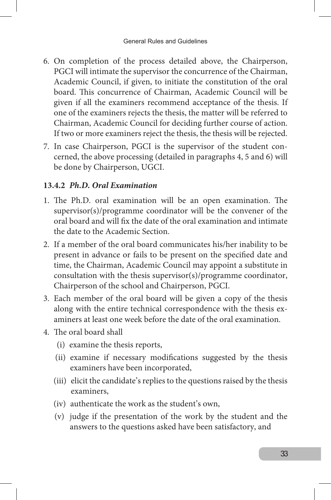- 6. On completion of the process detailed above, the Chairperson, PGCI will intimate the supervisor the concurrence of the Chairman, Academic Council, if given, to initiate the constitution of the oral board. This concurrence of Chairman, Academic Council will be given if all the examiners recommend acceptance of the thesis. If one of the examiners rejects the thesis, the matter will be referred to Chairman, Academic Council for deciding further course of action. If two or more examiners reject the thesis, the thesis will be rejected.
- 7. In case Chairperson, PGCI is the supervisor of the student concerned, the above processing (detailed in paragraphs 4, 5 and 6) will be done by Chairperson, UGCI.

#### **13.4.2** *Ph.D. Oral Examination*

- 1. The Ph.D. oral examination will be an open examination. The supervisor(s)/programme coordinator will be the convener of the oral board and will fix the date of the oral examination and intimate the date to the Academic Section.
- 2. If a member of the oral board communicates his/her inability to be present in advance or fails to be present on the specified date and time, the Chairman, Academic Council may appoint a substitute in consultation with the thesis supervisor(s)/programme coordinator, Chairperson of the school and Chairperson, PGCI.
- 3. Each member of the oral board will be given a copy of the thesis along with the entire technical correspondence with the thesis examiners at least one week before the date of the oral examination.
- 4. The oral board shall
	- (i) examine the thesis reports,
	- (ii) examine if necessary modifications suggested by the thesis examiners have been incorporated,
	- (iii) elicit the candidate's replies to the questions raised by the thesis examiners,
	- (iv) authenticate the work as the student's own,
	- (v) judge if the presentation of the work by the student and the answers to the questions asked have been satisfactory, and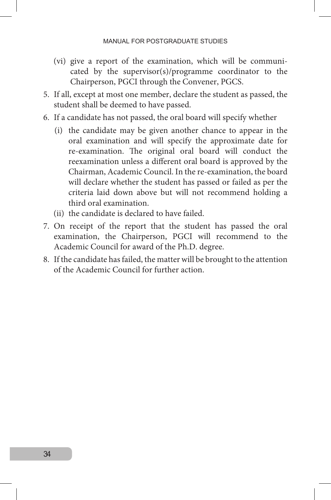- (vi) give a report of the examination, which will be communicated by the supervisor(s)/programme coordinator to the Chairperson, PGCI through the Convener, PGCS.
- 5. If all, except at most one member, declare the student as passed, the student shall be deemed to have passed.
- 6. If a candidate has not passed, the oral board will specify whether
	- (i) the candidate may be given another chance to appear in the oral examination and will specify the approximate date for re-examination. The original oral board will conduct the reexamination unless a different oral board is approved by the Chairman, Academic Council. In the re-examination, the board will declare whether the student has passed or failed as per the criteria laid down above but will not recommend holding a third oral examination.
	- (ii) the candidate is declared to have failed.
- 7. On receipt of the report that the student has passed the oral examination, the Chairperson, PGCI will recommend to the Academic Council for award of the Ph.D. degree.
- 8. If the candidate has failed, the matter will be brought to the attention of the Academic Council for further action.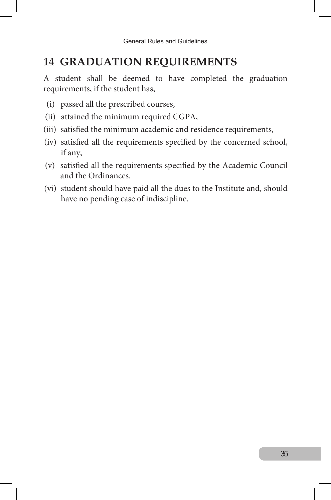## **14 GRADUATION REQUIREMENTS**

A student shall be deemed to have completed the graduation requirements, if the student has,

- (i) passed all the prescribed courses,
- (ii) attained the minimum required CGPA,
- (iii) satisfied the minimum academic and residence requirements,
- (iv) satisfied all the requirements specified by the concerned school, if any,
- (v) satisfied all the requirements specified by the Academic Council and the Ordinances.
- (vi) student should have paid all the dues to the Institute and, should have no pending case of indiscipline.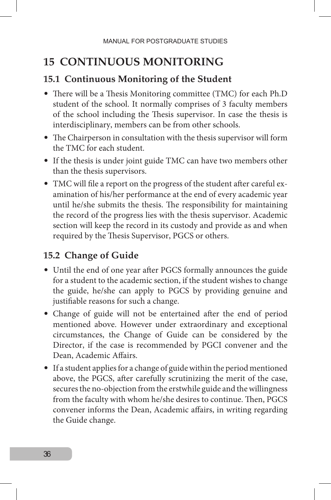# **15 continuous monitoring**

#### **15.1 Continuous Monitoring of the Student**

- There will be a Thesis Monitoring committee (TMC) for each Ph.D student of the school. It normally comprises of 3 faculty members of the school including the Thesis supervisor. In case the thesis is interdisciplinary, members can be from other schools.
- The Chairperson in consultation with the thesis supervisor will form the TMC for each student.
- If the thesis is under joint guide TMC can have two members other than the thesis supervisors.
- TMC will file a report on the progress of the student after careful examination of his/her performance at the end of every academic year until he/she submits the thesis. The responsibility for maintaining the record of the progress lies with the thesis supervisor. Academic section will keep the record in its custody and provide as and when required by the Thesis Supervisor, PGCS or others.

## **15.2 Change of Guide**

- Until the end of one year after PGCS formally announces the guide for a student to the academic section, if the student wishes to change the guide, he/she can apply to PGCS by providing genuine and justifiable reasons for such a change.
- Change of guide will not be entertained after the end of period mentioned above. However under extraordinary and exceptional circumstances, the Change of Guide can be considered by the Director, if the case is recommended by PGCI convener and the Dean, Academic Affairs.
- If a student applies for a change of guide within the period mentioned above, the PGCS, after carefully scrutinizing the merit of the case, secures the no-objection from the erstwhile guide and the willingness from the faculty with whom he/she desires to continue. Then, PGCS convener informs the Dean, Academic affairs, in writing regarding the Guide change.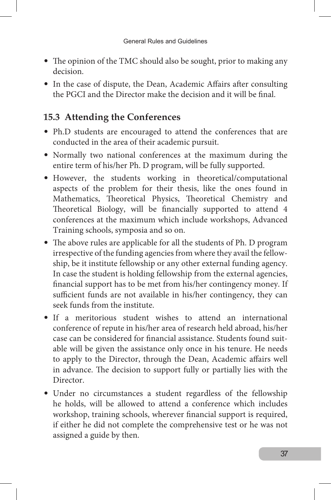- The opinion of the TMC should also be sought, prior to making any decision.
- In the case of dispute, the Dean, Academic Affairs after consulting the PGCI and the Director make the decision and it will be final.

## **15.3 Attending the Conferences**

- Ph.D students are encouraged to attend the conferences that are conducted in the area of their academic pursuit.
- Normally two national conferences at the maximum during the entire term of his/her Ph. D program, will be fully supported.
- However, the students working in theoretical/computational aspects of the problem for their thesis, like the ones found in Mathematics, Theoretical Physics, Theoretical Chemistry and Theoretical Biology, will be financially supported to attend 4 conferences at the maximum which include workshops, Advanced Training schools, symposia and so on.
- The above rules are applicable for all the students of Ph. D program irrespective of the funding agencies from where they avail the fellowship, be it institute fellowship or any other external funding agency. In case the student is holding fellowship from the external agencies, financial support has to be met from his/her contingency money. If sufficient funds are not available in his/her contingency, they can seek funds from the institute.
- If a meritorious student wishes to attend an international conference of repute in his/her area of research held abroad, his/her case can be considered for financial assistance. Students found suitable will be given the assistance only once in his tenure. He needs to apply to the Director, through the Dean, Academic affairs well in advance. The decision to support fully or partially lies with the Director.
- Under no circumstances a student regardless of the fellowship he holds, will be allowed to attend a conference which includes workshop, training schools, wherever financial support is required, if either he did not complete the comprehensive test or he was not assigned a guide by then.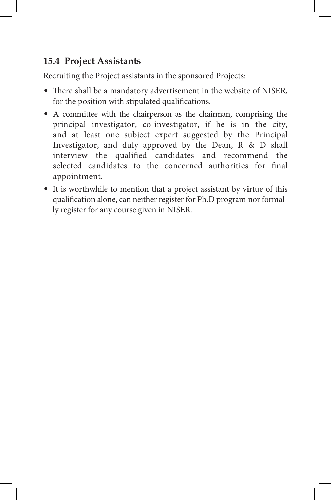## **15.4 Project Assistants**

Recruiting the Project assistants in the sponsored Projects:

- There shall be a mandatory advertisement in the website of NISER, for the position with stipulated qualifications.
- A committee with the chairperson as the chairman, comprising the principal investigator, co-investigator, if he is in the city, and at least one subject expert suggested by the Principal Investigator, and duly approved by the Dean, R & D shall interview the qualified candidates and recommend the selected candidates to the concerned authorities for final appointment.
- It is worthwhile to mention that a project assistant by virtue of this qualification alone, can neither register for Ph.D program nor formally register for any course given in NISER.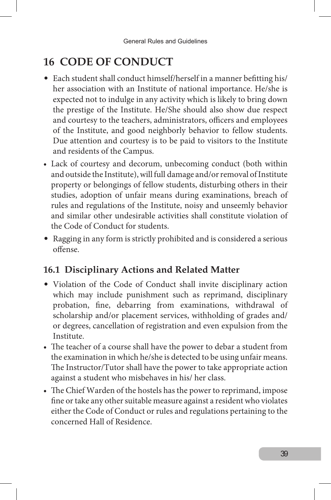# **16 CODE OF CONDUCT**

- Each student shall conduct himself/herself in a manner befitting his/ her association with an Institute of national importance. He/she is expected not to indulge in any activity which is likely to bring down the prestige of the Institute. He/She should also show due respect and courtesy to the teachers, administrators, officers and employees of the Institute, and good neighborly behavior to fellow students. Due attention and courtesy is to be paid to visitors to the Institute and residents of the Campus.
- Lack of courtesy and decorum, unbecoming conduct (both within and outside the Institute), will full damage and/or removal of Institute property or belongings of fellow students, disturbing others in their studies, adoption of unfair means during examinations, breach of rules and regulations of the Institute, noisy and unseemly behavior and similar other undesirable activities shall constitute violation of the Code of Conduct for students.
- Ragging in any form is strictly prohibited and is considered a serious offense.

## **16.1 Disciplinary Actions and Related Matter**

- Violation of the Code of Conduct shall invite disciplinary action which may include punishment such as reprimand, disciplinary probation, fine, debarring from examinations, withdrawal of scholarship and/or placement services, withholding of grades and/ or degrees, cancellation of registration and even expulsion from the Institute.
- The teacher of a course shall have the power to debar a student from the examination in which he/she is detected to be using unfair means. The Instructor/Tutor shall have the power to take appropriate action against a student who misbehaves in his/ her class.
- The Chief Warden of the hostels has the power to reprimand, impose fine or take any other suitable measure against a resident who violates either the Code of Conduct or rules and regulations pertaining to the concerned Hall of Residence.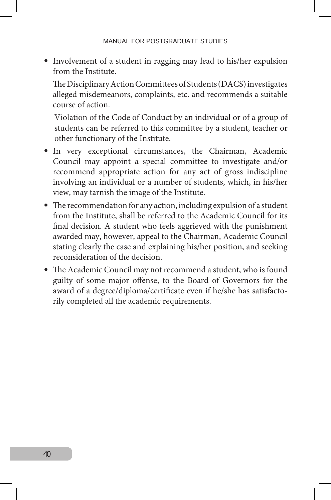• Involvement of a student in ragging may lead to his/her expulsion from the Institute.

The Disciplinary Action Committees of Students (DACS) investigates alleged misdemeanors, complaints, etc. and recommends a suitable course of action.

Violation of the Code of Conduct by an individual or of a group of students can be referred to this committee by a student, teacher or other functionary of the Institute.

- In very exceptional circumstances, the Chairman, Academic Council may appoint a special committee to investigate and/or recommend appropriate action for any act of gross indiscipline involving an individual or a number of students, which, in his/her view, may tarnish the image of the Institute.
- The recommendation for any action, including expulsion of a student from the Institute, shall be referred to the Academic Council for its final decision. A student who feels aggrieved with the punishment awarded may, however, appeal to the Chairman, Academic Council stating clearly the case and explaining his/her position, and seeking reconsideration of the decision.
- The Academic Council may not recommend a student, who is found guilty of some major offense, to the Board of Governors for the award of a degree/diploma/certificate even if he/she has satisfactorily completed all the academic requirements.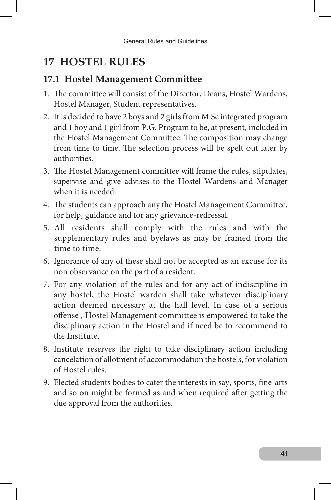## **17 HOSTEL RULES**

#### **17.1 Hostel Management Committee**

- 1. The committee will consist of the Director, Deans, Hostel Wardens, Hostel Manager, Student representatives.
- 2. It is decided to have 2 boys and 2 girls from M.Sc integrated program and 1 boy and 1 girl from P.G. Program to be, at present, included in the Hostel Management Committee. The composition may change from time to time. The selection process will be spelt out later by authorities.
- 3. The Hostel Management committee will frame the rules, stipulates, supervise and give advises to the Hostel Wardens and Manager when it is needed.
- 4. The students can approach any the Hostel Management Committee, for help, guidance and for any grievance-redressal.
- 5. All residents shall comply with the rules and with the supplementary rules and byelaws as may be framed from the time to time.
- 6. Ignorance of any of these shall not be accepted as an excuse for its non observance on the part of a resident.
- 7. For any violation of the rules and for any act of indiscipline in any hostel, the Hostel warden shall take whatever disciplinary action deemed necessary at the hall level. In case of a serious offense , Hostel Management committee is empowered to take the disciplinary action in the Hostel and if need be to recommend to the Institute.
- 8. Institute reserves the right to take disciplinary action including cancelation of allotment of accommodation the hostels, for violation of Hostel rules.
- 9. Elected students bodies to cater the interests in say, sports, fine-arts and so on might be formed as and when required after getting the due approval from the authorities.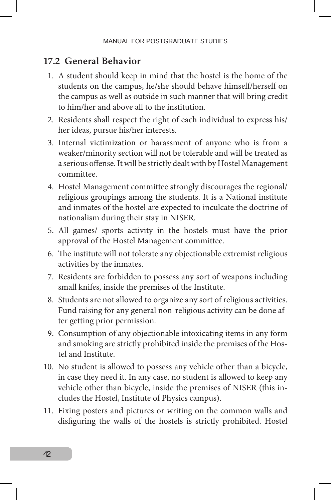#### **17.2 General Behavior**

- 1. A student should keep in mind that the hostel is the home of the students on the campus, he/she should behave himself/herself on the campus as well as outside in such manner that will bring credit to him/her and above all to the institution.
- 2. Residents shall respect the right of each individual to express his/ her ideas, pursue his/her interests.
- 3. Internal victimization or harassment of anyone who is from a weaker/minority section will not be tolerable and will be treated as a serious offense. It will be strictly dealt with by Hostel Management committee.
- 4. Hostel Management committee strongly discourages the regional/ religious groupings among the students. It is a National institute and inmates of the hostel are expected to inculcate the doctrine of nationalism during their stay in NISER.
- 5. All games/ sports activity in the hostels must have the prior approval of the Hostel Management committee.
- 6. The institute will not tolerate any objectionable extremist religious activities by the inmates.
- 7. Residents are forbidden to possess any sort of weapons including small knifes, inside the premises of the Institute.
- 8. Students are not allowed to organize any sort of religious activities. Fund raising for any general non-religious activity can be done after getting prior permission.
- 9. Consumption of any objectionable intoxicating items in any form and smoking are strictly prohibited inside the premises of the Hostel and Institute.
- 10. No student is allowed to possess any vehicle other than a bicycle, in case they need it. In any case, no student is allowed to keep any vehicle other than bicycle, inside the premises of NISER (this includes the Hostel, Institute of Physics campus).
- 11. Fixing posters and pictures or writing on the common walls and disfiguring the walls of the hostels is strictly prohibited. Hostel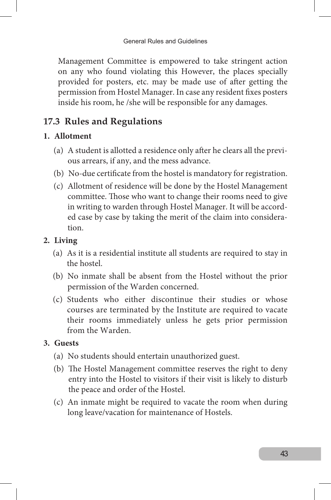Management Committee is empowered to take stringent action on any who found violating this However, the places specially provided for posters, etc. may be made use of after getting the permission from Hostel Manager. In case any resident fixes posters inside his room, he /she will be responsible for any damages.

## **17.3 Rules and Regulations**

#### **1. Allotment**

- (a) A student is allotted a residence only after he clears all the previous arrears, if any, and the mess advance.
- (b) No-due certificate from the hostel is mandatory for registration.
- (c) Allotment of residence will be done by the Hostel Management committee. Those who want to change their rooms need to give in writing to warden through Hostel Manager. It will be accorded case by case by taking the merit of the claim into consideration.

#### **2. Living**

- (a) As it is a residential institute all students are required to stay in the hostel.
- (b) No inmate shall be absent from the Hostel without the prior permission of the Warden concerned.
- (c) Students who either discontinue their studies or whose courses are terminated by the Institute are required to vacate their rooms immediately unless he gets prior permission from the Warden.

#### **3. Guests**

- (a) No students should entertain unauthorized guest.
- (b) The Hostel Management committee reserves the right to deny entry into the Hostel to visitors if their visit is likely to disturb the peace and order of the Hostel.
- (c) An inmate might be required to vacate the room when during long leave/vacation for maintenance of Hostels.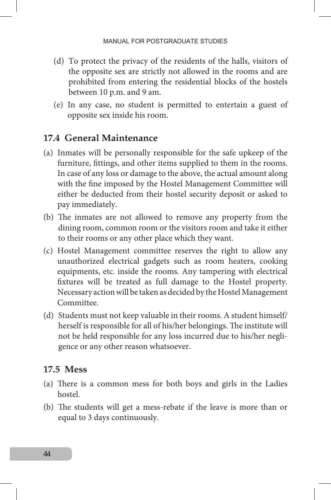- (d) To protect the privacy of the residents of the halls, visitors of the opposite sex are strictly not allowed in the rooms and are prohibited from entering the residential blocks of the hostels between 10 p.m. and 9 am.
- (e) In any case, no student is permitted to entertain a guest of opposite sex inside his room.

#### **17.4 General Maintenance**

- (a) Inmates will be personally responsible for the safe upkeep of the furniture, fittings, and other items supplied to them in the rooms. In case of any loss or damage to the above, the actual amount along with the fine imposed by the Hostel Management Committee will either be deducted from their hostel security deposit or asked to pay immediately.
- (b) The inmates are not allowed to remove any property from the dining room, common room or the visitors room and take it either to their rooms or any other place which they want.
- (c) Hostel Management committee reserves the right to allow any unauthorized electrical gadgets such as room heaters, cooking equipments, etc. inside the rooms. Any tampering with electrical fixtures will be treated as full damage to the Hostel property. Necessary action will be taken as decided by the Hostel Management Committee.
- (d) Students must not keep valuable in their rooms. A student himself/ herself is responsible for all of his/her belongings. The institute will not be held responsible for any loss incurred due to his/her negligence or any other reason whatsoever.

#### **17.5 Mess**

- (a) There is a common mess for both boys and girls in the Ladies hostel.
- (b) The students will get a mess-rebate if the leave is more than or equal to 3 days continuously.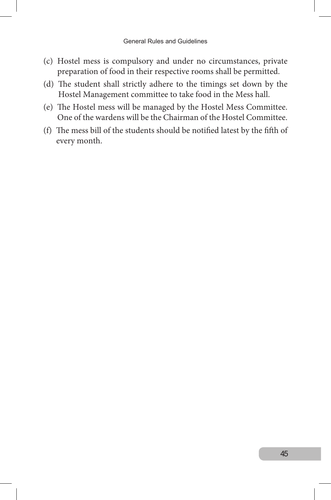- (c) Hostel mess is compulsory and under no circumstances, private preparation of food in their respective rooms shall be permitted.
- (d) The student shall strictly adhere to the timings set down by the Hostel Management committee to take food in the Mess hall.
- (e) The Hostel mess will be managed by the Hostel Mess Committee. One of the wardens will be the Chairman of the Hostel Committee.
- (f) The mess bill of the students should be notified latest by the fifth of every month.